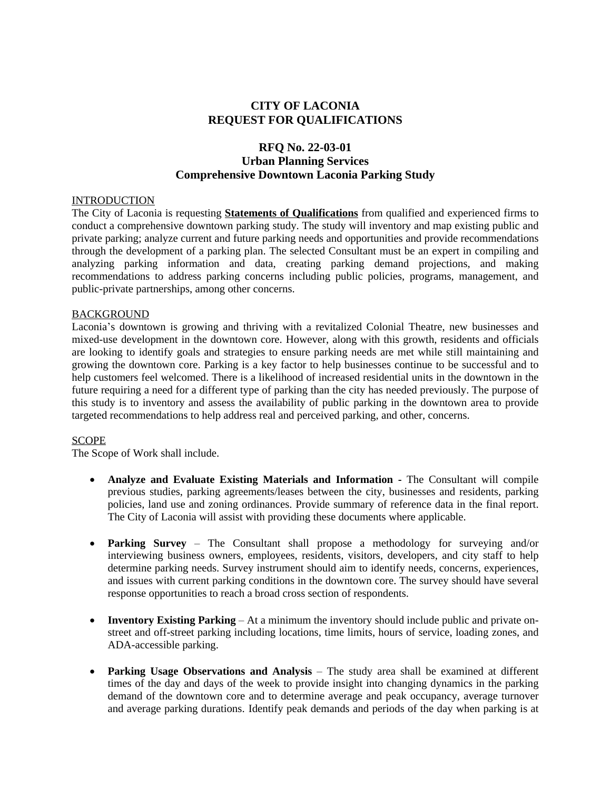# **CITY OF LACONIA REQUEST FOR QUALIFICATIONS**

# **RFQ No. 22-03-01 Urban Planning Services Comprehensive Downtown Laconia Parking Study**

## INTRODUCTION

The City of Laconia is requesting **Statements of Qualifications** from qualified and experienced firms to conduct a comprehensive downtown parking study. The study will inventory and map existing public and private parking; analyze current and future parking needs and opportunities and provide recommendations through the development of a parking plan. The selected Consultant must be an expert in compiling and analyzing parking information and data, creating parking demand projections, and making recommendations to address parking concerns including public policies, programs, management, and public-private partnerships, among other concerns.

## BACKGROUND

Laconia's downtown is growing and thriving with a revitalized Colonial Theatre, new businesses and mixed-use development in the downtown core. However, along with this growth, residents and officials are looking to identify goals and strategies to ensure parking needs are met while still maintaining and growing the downtown core. Parking is a key factor to help businesses continue to be successful and to help customers feel welcomed. There is a likelihood of increased residential units in the downtown in the future requiring a need for a different type of parking than the city has needed previously. The purpose of this study is to inventory and assess the availability of public parking in the downtown area to provide targeted recommendations to help address real and perceived parking, and other, concerns.

#### SCOPE

The Scope of Work shall include.

- **Analyze and Evaluate Existing Materials and Information -** The Consultant will compile previous studies, parking agreements/leases between the city, businesses and residents, parking policies, land use and zoning ordinances. Provide summary of reference data in the final report. The City of Laconia will assist with providing these documents where applicable.
- **Parking Survey** The Consultant shall propose a methodology for surveying and/or interviewing business owners, employees, residents, visitors, developers, and city staff to help determine parking needs. Survey instrument should aim to identify needs, concerns, experiences, and issues with current parking conditions in the downtown core. The survey should have several response opportunities to reach a broad cross section of respondents.
- **Inventory Existing Parking** At a minimum the inventory should include public and private onstreet and off-street parking including locations, time limits, hours of service, loading zones, and ADA-accessible parking.
- **Parking Usage Observations and Analysis** The study area shall be examined at different times of the day and days of the week to provide insight into changing dynamics in the parking demand of the downtown core and to determine average and peak occupancy, average turnover and average parking durations. Identify peak demands and periods of the day when parking is at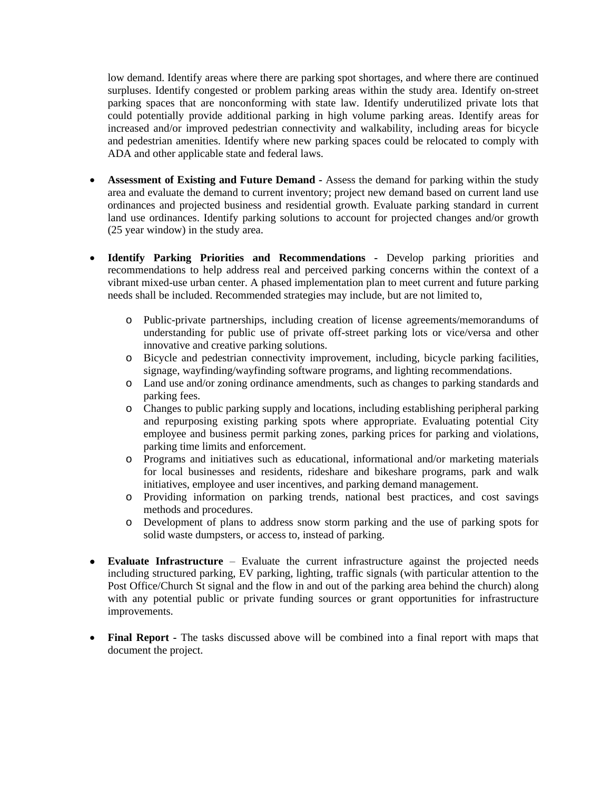low demand. Identify areas where there are parking spot shortages, and where there are continued surpluses. Identify congested or problem parking areas within the study area. Identify on-street parking spaces that are nonconforming with state law. Identify underutilized private lots that could potentially provide additional parking in high volume parking areas. Identify areas for increased and/or improved pedestrian connectivity and walkability, including areas for bicycle and pedestrian amenities. Identify where new parking spaces could be relocated to comply with ADA and other applicable state and federal laws.

- **Assessment of Existing and Future Demand -** Assess the demand for parking within the study area and evaluate the demand to current inventory; project new demand based on current land use ordinances and projected business and residential growth. Evaluate parking standard in current land use ordinances. Identify parking solutions to account for projected changes and/or growth (25 year window) in the study area.
- **Identify Parking Priorities and Recommendations -** Develop parking priorities and recommendations to help address real and perceived parking concerns within the context of a vibrant mixed-use urban center. A phased implementation plan to meet current and future parking needs shall be included. Recommended strategies may include, but are not limited to,
	- o Public-private partnerships, including creation of license agreements/memorandums of understanding for public use of private off-street parking lots or vice/versa and other innovative and creative parking solutions.
	- o Bicycle and pedestrian connectivity improvement, including, bicycle parking facilities, signage, wayfinding/wayfinding software programs, and lighting recommendations.
	- o Land use and/or zoning ordinance amendments, such as changes to parking standards and parking fees.
	- o Changes to public parking supply and locations, including establishing peripheral parking and repurposing existing parking spots where appropriate. Evaluating potential City employee and business permit parking zones, parking prices for parking and violations, parking time limits and enforcement.
	- o Programs and initiatives such as educational, informational and/or marketing materials for local businesses and residents, rideshare and bikeshare programs, park and walk initiatives, employee and user incentives, and parking demand management.
	- o Providing information on parking trends, national best practices, and cost savings methods and procedures.
	- o Development of plans to address snow storm parking and the use of parking spots for solid waste dumpsters, or access to, instead of parking.
- **Evaluate Infrastructure** Evaluate the current infrastructure against the projected needs including structured parking, EV parking, lighting, traffic signals (with particular attention to the Post Office/Church St signal and the flow in and out of the parking area behind the church) along with any potential public or private funding sources or grant opportunities for infrastructure improvements.
- **Final Report -** The tasks discussed above will be combined into a final report with maps that document the project.